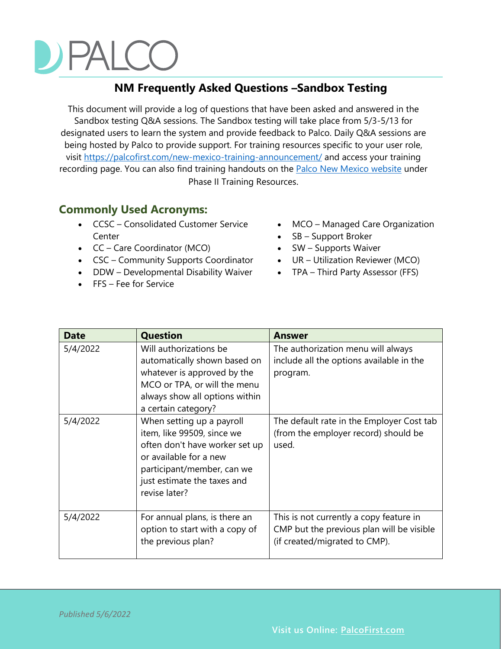# $\overline{a}$

#### **NM Frequently Asked Questions –Sandbox Testing**

This document will provide a log of questions that have been asked and answered in the Sandbox testing Q&A sessions. The Sandbox testing will take place from 5/3-5/13 for designated users to learn the system and provide feedback to Palco. Daily Q&A sessions are being hosted by Palco to provide support. For training resources specific to your user role, visit [https://palcofirst.com/new-mexico-training-announcement/](https://nam02.safelinks.protection.outlook.com/?url=https%3A%2F%2Fpalcofirst.com%2Fnew-mexico-training-announcement%2F&data=05%7C01%7Ckady.predota%40palcofirst.com%7C474f486f17124fca6fa608da2d862186%7C50883800242b4943ba4ff39acdc1bc09%7C0%7C0%7C637872351400021443%7CUnknown%7CTWFpbGZsb3d8eyJWIjoiMC4wLjAwMDAiLCJQIjoiV2luMzIiLCJBTiI6Ik1haWwiLCJXVCI6Mn0%3D%7C3000%7C%7C%7C&sdata=ChI%2BX%2B34jYOzwhpjvyO9FAXoCbyB7iCdq6AlFwDMICE%3D&reserved=0) and access your training recording page. You can also find training handouts on the **Palco New Mexico website** under Phase II Training Resources.

#### **Commonly Used Acronyms:**

- CCSC Consolidated Customer Service Center
- CC Care Coordinator (MCO)
- CSC Community Supports Coordinator
- DDW Developmental Disability Waiver
- FFS Fee for Service
- MCO Managed Care Organization
- SB Support Broker
- SW Supports Waiver
- UR Utilization Reviewer (MCO)
- TPA Third Party Assessor (FFS)

| <b>Date</b> | <b>Question</b>                                                                                                                                                                                   | Answer                                                                                                                |
|-------------|---------------------------------------------------------------------------------------------------------------------------------------------------------------------------------------------------|-----------------------------------------------------------------------------------------------------------------------|
| 5/4/2022    | Will authorizations be<br>automatically shown based on<br>whatever is approved by the<br>MCO or TPA, or will the menu<br>always show all options within<br>a certain category?                    | The authorization menu will always<br>include all the options available in the<br>program.                            |
| 5/4/2022    | When setting up a payroll<br>item, like 99509, since we<br>often don't have worker set up<br>or available for a new<br>participant/member, can we<br>just estimate the taxes and<br>revise later? | The default rate in the Employer Cost tab<br>(from the employer record) should be<br>used.                            |
| 5/4/2022    | For annual plans, is there an<br>option to start with a copy of<br>the previous plan?                                                                                                             | This is not currently a copy feature in<br>CMP but the previous plan will be visible<br>(if created/migrated to CMP). |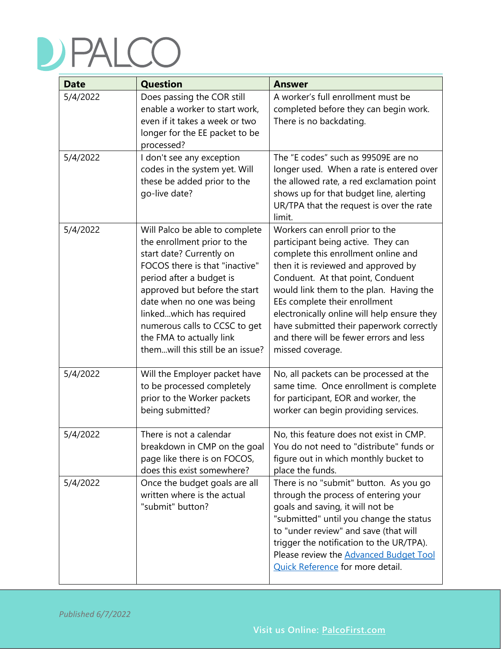| <b>Date</b> | <b>Question</b>                                                                                                                                                                                                                                                                                                                                     | <b>Answer</b>                                                                                                                                                                                                                                                                                                                                                                                                                  |
|-------------|-----------------------------------------------------------------------------------------------------------------------------------------------------------------------------------------------------------------------------------------------------------------------------------------------------------------------------------------------------|--------------------------------------------------------------------------------------------------------------------------------------------------------------------------------------------------------------------------------------------------------------------------------------------------------------------------------------------------------------------------------------------------------------------------------|
| 5/4/2022    | Does passing the COR still<br>enable a worker to start work,<br>even if it takes a week or two<br>longer for the EE packet to be<br>processed?                                                                                                                                                                                                      | A worker's full enrollment must be<br>completed before they can begin work.<br>There is no backdating.                                                                                                                                                                                                                                                                                                                         |
| 5/4/2022    | I don't see any exception<br>codes in the system yet. Will<br>these be added prior to the<br>go-live date?                                                                                                                                                                                                                                          | The "E codes" such as 99509E are no<br>longer used. When a rate is entered over<br>the allowed rate, a red exclamation point<br>shows up for that budget line, alerting<br>UR/TPA that the request is over the rate<br>limit.                                                                                                                                                                                                  |
| 5/4/2022    | Will Palco be able to complete<br>the enrollment prior to the<br>start date? Currently on<br>FOCOS there is that "inactive"<br>period after a budget is<br>approved but before the start<br>date when no one was being<br>linkedwhich has required<br>numerous calls to CCSC to get<br>the FMA to actually link<br>themwill this still be an issue? | Workers can enroll prior to the<br>participant being active. They can<br>complete this enrollment online and<br>then it is reviewed and approved by<br>Conduent. At that point, Conduent<br>would link them to the plan. Having the<br>EEs complete their enrollment<br>electronically online will help ensure they<br>have submitted their paperwork correctly<br>and there will be fewer errors and less<br>missed coverage. |
| 5/4/2022    | Will the Employer packet have<br>to be processed completely<br>prior to the Worker packets<br>being submitted?                                                                                                                                                                                                                                      | No, all packets can be processed at the<br>same time. Once enrollment is complete<br>for participant, EOR and worker, the<br>worker can begin providing services.                                                                                                                                                                                                                                                              |
| 5/4/2022    | There is not a calendar<br>breakdown in CMP on the goal<br>page like there is on FOCOS,<br>does this exist somewhere?                                                                                                                                                                                                                               | No, this feature does not exist in CMP.<br>You do not need to "distribute" funds or<br>figure out in which monthly bucket to<br>place the funds.                                                                                                                                                                                                                                                                               |
| 5/4/2022    | Once the budget goals are all<br>written where is the actual<br>"submit" button?                                                                                                                                                                                                                                                                    | There is no "submit" button. As you go<br>through the process of entering your<br>goals and saving, it will not be<br>"submitted" until you change the status<br>to "under review" and save (that will<br>trigger the notification to the UR/TPA).<br>Please review the <b>Advanced Budget Tool</b><br>Quick Reference for more detail.                                                                                        |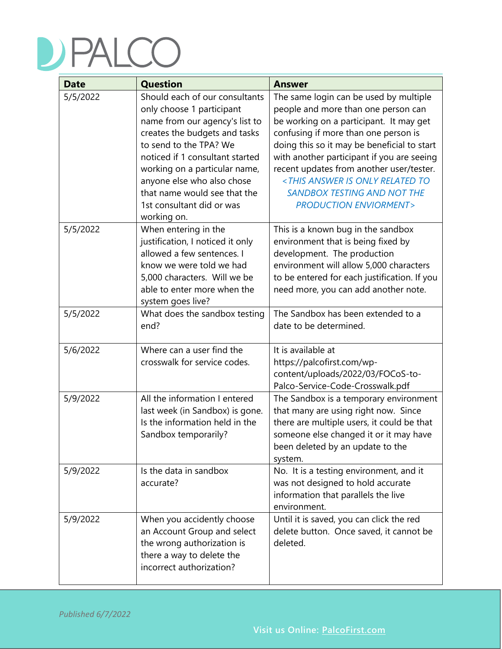| <b>Date</b>          | <b>Question</b>                                                                                                                                                                                                                                                                                                                        | <b>Answer</b>                                                                                                                                                                                                                                                                                                                                                                                                                                 |
|----------------------|----------------------------------------------------------------------------------------------------------------------------------------------------------------------------------------------------------------------------------------------------------------------------------------------------------------------------------------|-----------------------------------------------------------------------------------------------------------------------------------------------------------------------------------------------------------------------------------------------------------------------------------------------------------------------------------------------------------------------------------------------------------------------------------------------|
| 5/5/2022             | Should each of our consultants<br>only choose 1 participant<br>name from our agency's list to<br>creates the budgets and tasks<br>to send to the TPA? We<br>noticed if 1 consultant started<br>working on a particular name,<br>anyone else who also chose<br>that name would see that the<br>1st consultant did or was<br>working on. | The same login can be used by multiple<br>people and more than one person can<br>be working on a participant. It may get<br>confusing if more than one person is<br>doing this so it may be beneficial to start<br>with another participant if you are seeing<br>recent updates from another user/tester.<br><this answer="" is="" only="" related="" to<br=""><b>SANDBOX TESTING AND NOT THE</b><br/><b>PRODUCTION ENVIORMENT&gt;</b></this> |
| 5/5/2022<br>5/5/2022 | When entering in the<br>justification, I noticed it only<br>allowed a few sentences. I<br>know we were told we had<br>5,000 characters. Will we be<br>able to enter more when the<br>system goes live?<br>What does the sandbox testing<br>end?                                                                                        | This is a known bug in the sandbox<br>environment that is being fixed by<br>development. The production<br>environment will allow 5,000 characters<br>to be entered for each justification. If you<br>need more, you can add another note.<br>The Sandbox has been extended to a<br>date to be determined.                                                                                                                                    |
|                      |                                                                                                                                                                                                                                                                                                                                        |                                                                                                                                                                                                                                                                                                                                                                                                                                               |
| 5/6/2022             | Where can a user find the<br>crosswalk for service codes.                                                                                                                                                                                                                                                                              | It is available at<br>https://palcofirst.com/wp-<br>content/uploads/2022/03/FOCoS-to-<br>Palco-Service-Code-Crosswalk.pdf                                                                                                                                                                                                                                                                                                                     |
| 5/9/2022             | All the information I entered<br>last week (in Sandbox) is gone.<br>Is the information held in the<br>Sandbox temporarily?                                                                                                                                                                                                             | The Sandbox is a temporary environment<br>that many are using right now. Since<br>there are multiple users, it could be that<br>someone else changed it or it may have<br>been deleted by an update to the<br>system.                                                                                                                                                                                                                         |
| 5/9/2022             | Is the data in sandbox<br>accurate?                                                                                                                                                                                                                                                                                                    | No. It is a testing environment, and it<br>was not designed to hold accurate<br>information that parallels the live<br>environment.                                                                                                                                                                                                                                                                                                           |
| 5/9/2022             | When you accidently choose<br>an Account Group and select<br>the wrong authorization is<br>there a way to delete the<br>incorrect authorization?                                                                                                                                                                                       | Until it is saved, you can click the red<br>delete button. Once saved, it cannot be<br>deleted.                                                                                                                                                                                                                                                                                                                                               |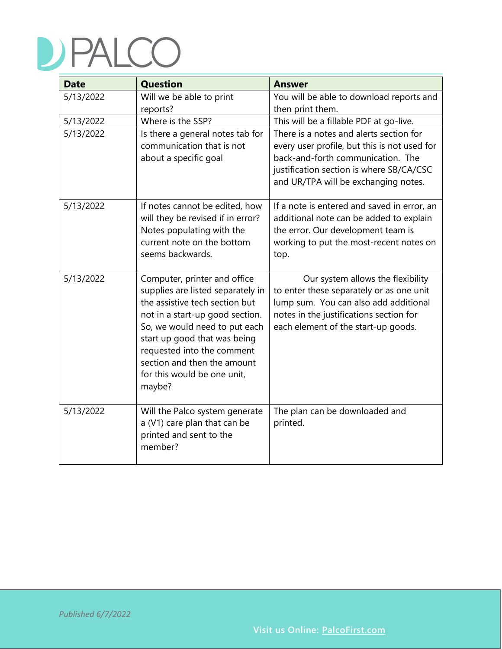| <b>Date</b> | <b>Question</b>                                                                                                                                                                                                                                                                                               | <b>Answer</b>                                                                                                                                                                                                    |
|-------------|---------------------------------------------------------------------------------------------------------------------------------------------------------------------------------------------------------------------------------------------------------------------------------------------------------------|------------------------------------------------------------------------------------------------------------------------------------------------------------------------------------------------------------------|
| 5/13/2022   | Will we be able to print<br>reports?                                                                                                                                                                                                                                                                          | You will be able to download reports and<br>then print them.                                                                                                                                                     |
| 5/13/2022   | Where is the SSP?                                                                                                                                                                                                                                                                                             | This will be a fillable PDF at go-live.                                                                                                                                                                          |
| 5/13/2022   | Is there a general notes tab for<br>communication that is not<br>about a specific goal                                                                                                                                                                                                                        | There is a notes and alerts section for<br>every user profile, but this is not used for<br>back-and-forth communication. The<br>justification section is where SB/CA/CSC<br>and UR/TPA will be exchanging notes. |
| 5/13/2022   | If notes cannot be edited, how<br>will they be revised if in error?<br>Notes populating with the<br>current note on the bottom<br>seems backwards.                                                                                                                                                            | If a note is entered and saved in error, an<br>additional note can be added to explain<br>the error. Our development team is<br>working to put the most-recent notes on<br>top.                                  |
| 5/13/2022   | Computer, printer and office<br>supplies are listed separately in<br>the assistive tech section but<br>not in a start-up good section.<br>So, we would need to put each<br>start up good that was being<br>requested into the comment<br>section and then the amount<br>for this would be one unit,<br>maybe? | Our system allows the flexibility<br>to enter these separately or as one unit<br>lump sum. You can also add additional<br>notes in the justifications section for<br>each element of the start-up goods.         |
| 5/13/2022   | Will the Palco system generate<br>a (V1) care plan that can be<br>printed and sent to the<br>member?                                                                                                                                                                                                          | The plan can be downloaded and<br>printed.                                                                                                                                                                       |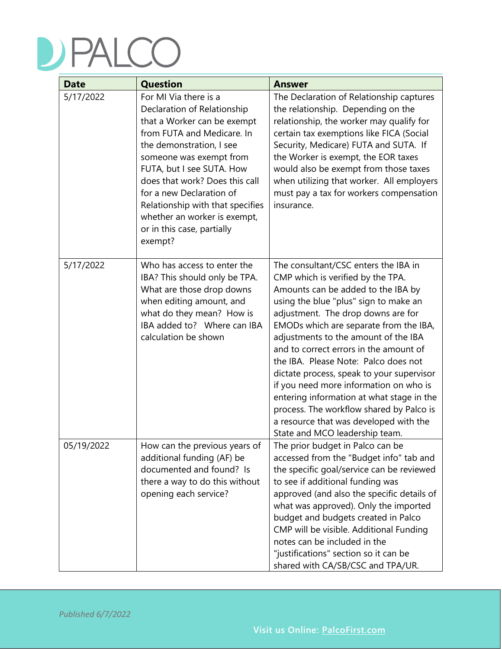| <b>Date</b> | <b>Question</b>                                                                                                                                                                                                                                                                                                                                                                  | <b>Answer</b>                                                                                                                                                                                                                                                                                                                                                                                                                                                                                                                                                                                                                  |
|-------------|----------------------------------------------------------------------------------------------------------------------------------------------------------------------------------------------------------------------------------------------------------------------------------------------------------------------------------------------------------------------------------|--------------------------------------------------------------------------------------------------------------------------------------------------------------------------------------------------------------------------------------------------------------------------------------------------------------------------------------------------------------------------------------------------------------------------------------------------------------------------------------------------------------------------------------------------------------------------------------------------------------------------------|
| 5/17/2022   | For MI Via there is a<br>Declaration of Relationship<br>that a Worker can be exempt<br>from FUTA and Medicare. In<br>the demonstration, I see<br>someone was exempt from<br>FUTA, but I see SUTA. How<br>does that work? Does this call<br>for a new Declaration of<br>Relationship with that specifies<br>whether an worker is exempt,<br>or in this case, partially<br>exempt? | The Declaration of Relationship captures<br>the relationship. Depending on the<br>relationship, the worker may qualify for<br>certain tax exemptions like FICA (Social<br>Security, Medicare) FUTA and SUTA. If<br>the Worker is exempt, the EOR taxes<br>would also be exempt from those taxes<br>when utilizing that worker. All employers<br>must pay a tax for workers compensation<br>insurance.                                                                                                                                                                                                                          |
| 5/17/2022   | Who has access to enter the<br>IBA? This should only be TPA.<br>What are those drop downs<br>when editing amount, and<br>what do they mean? How is<br>IBA added to? Where can IBA<br>calculation be shown                                                                                                                                                                        | The consultant/CSC enters the IBA in<br>CMP which is verified by the TPA.<br>Amounts can be added to the IBA by<br>using the blue "plus" sign to make an<br>adjustment. The drop downs are for<br>EMODs which are separate from the IBA,<br>adjustments to the amount of the IBA<br>and to correct errors in the amount of<br>the IBA. Please Note: Palco does not<br>dictate process, speak to your supervisor<br>if you need more information on who is<br>entering information at what stage in the<br>process. The workflow shared by Palco is<br>a resource that was developed with the<br>State and MCO leadership team. |
| 05/19/2022  | How can the previous years of<br>additional funding (AF) be<br>documented and found? Is<br>there a way to do this without<br>opening each service?                                                                                                                                                                                                                               | The prior budget in Palco can be<br>accessed from the "Budget info" tab and<br>the specific goal/service can be reviewed<br>to see if additional funding was<br>approved (and also the specific details of<br>what was approved). Only the imported<br>budget and budgets created in Palco<br>CMP will be visible. Additional Funding<br>notes can be included in the<br>"justifications" section so it can be<br>shared with CA/SB/CSC and TPA/UR.                                                                                                                                                                            |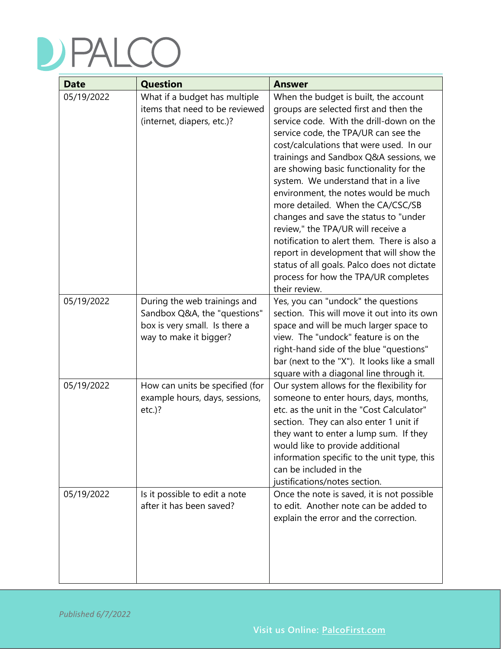| <b>Date</b> | <b>Question</b>                                                                                                         | <b>Answer</b>                                                                                                                                                                                                                                                                                                                                                                                                                                                                                                                                                                                                                                                                                               |
|-------------|-------------------------------------------------------------------------------------------------------------------------|-------------------------------------------------------------------------------------------------------------------------------------------------------------------------------------------------------------------------------------------------------------------------------------------------------------------------------------------------------------------------------------------------------------------------------------------------------------------------------------------------------------------------------------------------------------------------------------------------------------------------------------------------------------------------------------------------------------|
| 05/19/2022  | What if a budget has multiple<br>items that need to be reviewed<br>(internet, diapers, etc.)?                           | When the budget is built, the account<br>groups are selected first and then the<br>service code. With the drill-down on the<br>service code, the TPA/UR can see the<br>cost/calculations that were used. In our<br>trainings and Sandbox Q&A sessions, we<br>are showing basic functionality for the<br>system. We understand that in a live<br>environment, the notes would be much<br>more detailed. When the CA/CSC/SB<br>changes and save the status to "under<br>review," the TPA/UR will receive a<br>notification to alert them. There is also a<br>report in development that will show the<br>status of all goals. Palco does not dictate<br>process for how the TPA/UR completes<br>their review. |
| 05/19/2022  | During the web trainings and<br>Sandbox Q&A, the "questions"<br>box is very small. Is there a<br>way to make it bigger? | Yes, you can "undock" the questions<br>section. This will move it out into its own<br>space and will be much larger space to<br>view. The "undock" feature is on the<br>right-hand side of the blue "questions"<br>bar (next to the "X"). It looks like a small<br>square with a diagonal line through it.                                                                                                                                                                                                                                                                                                                                                                                                  |
| 05/19/2022  | How can units be specified (for<br>example hours, days, sessions,<br>$etc.$ )?                                          | Our system allows for the flexibility for<br>someone to enter hours, days, months,<br>etc. as the unit in the "Cost Calculator"<br>section. They can also enter 1 unit if<br>they want to enter a lump sum. If they<br>would like to provide additional<br>information specific to the unit type, this<br>can be included in the<br>justifications/notes section.                                                                                                                                                                                                                                                                                                                                           |
| 05/19/2022  | Is it possible to edit a note<br>after it has been saved?                                                               | Once the note is saved, it is not possible<br>to edit. Another note can be added to<br>explain the error and the correction.                                                                                                                                                                                                                                                                                                                                                                                                                                                                                                                                                                                |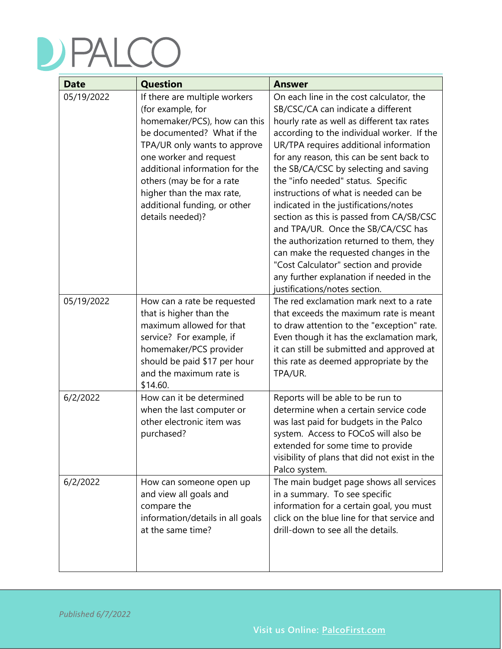| <b>Date</b> | <b>Question</b>                                                                                                                                                                                                                                                                                                            | <b>Answer</b>                                                                                                                                                                                                                                                                                                                                                                                                                                                                                                                                                                                                                                                                                                                  |
|-------------|----------------------------------------------------------------------------------------------------------------------------------------------------------------------------------------------------------------------------------------------------------------------------------------------------------------------------|--------------------------------------------------------------------------------------------------------------------------------------------------------------------------------------------------------------------------------------------------------------------------------------------------------------------------------------------------------------------------------------------------------------------------------------------------------------------------------------------------------------------------------------------------------------------------------------------------------------------------------------------------------------------------------------------------------------------------------|
| 05/19/2022  | If there are multiple workers<br>(for example, for<br>homemaker/PCS), how can this<br>be documented? What if the<br>TPA/UR only wants to approve<br>one worker and request<br>additional information for the<br>others (may be for a rate<br>higher than the max rate,<br>additional funding, or other<br>details needed)? | On each line in the cost calculator, the<br>SB/CSC/CA can indicate a different<br>hourly rate as well as different tax rates<br>according to the individual worker. If the<br>UR/TPA requires additional information<br>for any reason, this can be sent back to<br>the SB/CA/CSC by selecting and saving<br>the "info needed" status. Specific<br>instructions of what is needed can be<br>indicated in the justifications/notes<br>section as this is passed from CA/SB/CSC<br>and TPA/UR. Once the SB/CA/CSC has<br>the authorization returned to them, they<br>can make the requested changes in the<br>"Cost Calculator" section and provide<br>any further explanation if needed in the<br>justifications/notes section. |
| 05/19/2022  | How can a rate be requested<br>that is higher than the<br>maximum allowed for that<br>service? For example, if<br>homemaker/PCS provider<br>should be paid \$17 per hour<br>and the maximum rate is<br>\$14.60.                                                                                                            | The red exclamation mark next to a rate<br>that exceeds the maximum rate is meant<br>to draw attention to the "exception" rate.<br>Even though it has the exclamation mark,<br>it can still be submitted and approved at<br>this rate as deemed appropriate by the<br>TPA/UR.                                                                                                                                                                                                                                                                                                                                                                                                                                                  |
| 6/2/2022    | How can it be determined<br>when the last computer or<br>other electronic item was<br>purchased?                                                                                                                                                                                                                           | Reports will be able to be run to<br>determine when a certain service code<br>was last paid for budgets in the Palco<br>system. Access to FOCoS will also be<br>extended for some time to provide<br>visibility of plans that did not exist in the<br>Palco system.                                                                                                                                                                                                                                                                                                                                                                                                                                                            |
| 6/2/2022    | How can someone open up<br>and view all goals and<br>compare the<br>information/details in all goals<br>at the same time?                                                                                                                                                                                                  | The main budget page shows all services<br>in a summary. To see specific<br>information for a certain goal, you must<br>click on the blue line for that service and<br>drill-down to see all the details.                                                                                                                                                                                                                                                                                                                                                                                                                                                                                                                      |